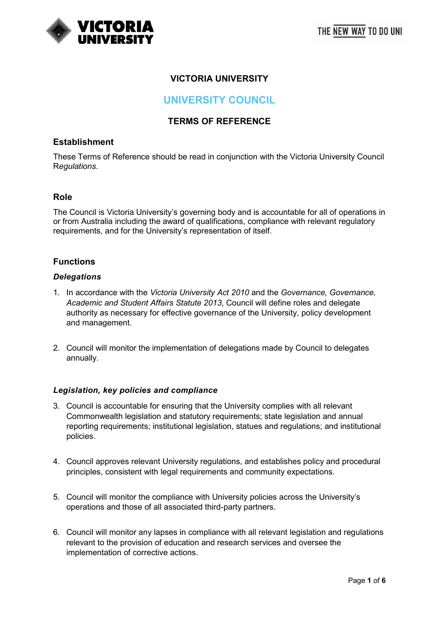

# **VICTORIA UNIVERSITY**

# **UNIVERSITY COUNCIL**

# **TERMS OF REFERENCE**

## **Establishment**

These Terms of Reference should be read in conjunction with the Victoria University Council R*egulations*.

### **Role**

The Council is Victoria University's governing body and is accountable for all of operations in or from Australia including the award of qualifications, compliance with relevant regulatory requirements, and for the University's representation of itself.

# **Functions**

#### *Delegations*

- 1. In accordance with the *Victoria University Act 2010* and the *Governance, Governance, Academic and Student Affairs Statute 2013*, Council will define roles and delegate authority as necessary for effective governance of the University, policy development and management.
- 2. Council will monitor the implementation of delegations made by Council to delegates annually.

#### *Legislation, key policies and compliance*

- 3. Council is accountable for ensuring that the University complies with all relevant Commonwealth legislation and statutory requirements; state legislation and annual reporting requirements; institutional legislation, statues and regulations; and institutional policies.
- 4. Council approves relevant University regulations, and establishes policy and procedural principles, consistent with legal requirements and community expectations.
- 5. Council will monitor the compliance with University policies across the University's operations and those of all associated third-party partners.
- 6. Council will monitor any lapses in compliance with all relevant legislation and regulations relevant to the provision of education and research services and oversee the implementation of corrective actions.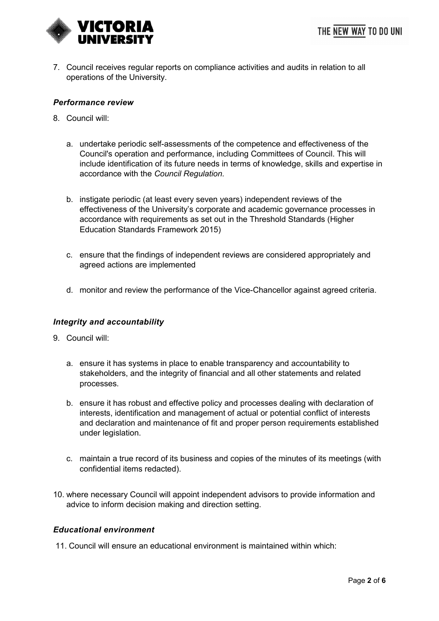7. Council receives regular reports on compliance activities and audits in relation to all operations of the University.

## *Performance review*

- 8. Council will:
	- a. undertake periodic self-assessments of the competence and effectiveness of the Council's operation and performance, including Committees of Council. This will include identification of its future needs in terms of knowledge, skills and expertise in accordance with the *Council Regulation.*
	- b. instigate periodic (at least every seven years) independent reviews of the effectiveness of the University's corporate and academic governance processes in accordance with requirements as set out in the Threshold Standards (Higher Education Standards Framework 2015)
	- c. ensure that the findings of independent reviews are considered appropriately and agreed actions are implemented
	- d. monitor and review the performance of the Vice-Chancellor against agreed criteria.

### *Integrity and accountability*

- 9. Council will:
	- a. ensure it has systems in place to enable transparency and accountability to stakeholders, and the integrity of financial and all other statements and related processes.
	- b. ensure it has robust and effective policy and processes dealing with declaration of interests, identification and management of actual or potential conflict of interests and declaration and maintenance of fit and proper person requirements established under legislation.
	- c. maintain a true record of its business and copies of the minutes of its meetings (with confidential items redacted).
- 10. where necessary Council will appoint independent advisors to provide information and advice to inform decision making and direction setting.

### *Educational environment*

11. Council will ensure an educational environment is maintained within which: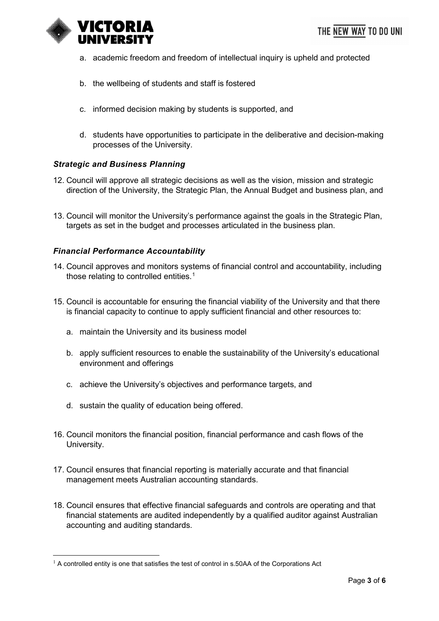

- a. academic freedom and freedom of intellectual inquiry is upheld and protected
- b. the wellbeing of students and staff is fostered
- c. informed decision making by students is supported, and
- d. students have opportunities to participate in the deliberative and decision-making processes of the University.

#### *Strategic and Business Planning*

- 12. Council will approve all strategic decisions as well as the vision, mission and strategic direction of the University, the Strategic Plan, the Annual Budget and business plan, and
- 13. Council will monitor the University's performance against the goals in the Strategic Plan, targets as set in the budget and processes articulated in the business plan.

#### *Financial Performance Accountability*

- 14. Council approves and monitors systems of financial control and accountability, including those relating to controlled entities.<sup>[1](#page-2-0)</sup>
- 15. Council is accountable for ensuring the financial viability of the University and that there is financial capacity to continue to apply sufficient financial and other resources to:
	- a. maintain the University and its business model
	- b. apply sufficient resources to enable the sustainability of the University's educational environment and offerings
	- c. achieve the University's objectives and performance targets, and
	- d. sustain the quality of education being offered.
- 16. Council monitors the financial position, financial performance and cash flows of the University.
- 17. Council ensures that financial reporting is materially accurate and that financial management meets Australian accounting standards.
- 18. Council ensures that effective financial safeguards and controls are operating and that financial statements are audited independently by a qualified auditor against Australian accounting and auditing standards.

<span id="page-2-0"></span> $1$  A controlled entity is one that satisfies the test of control in s.50AA of the Corporations Act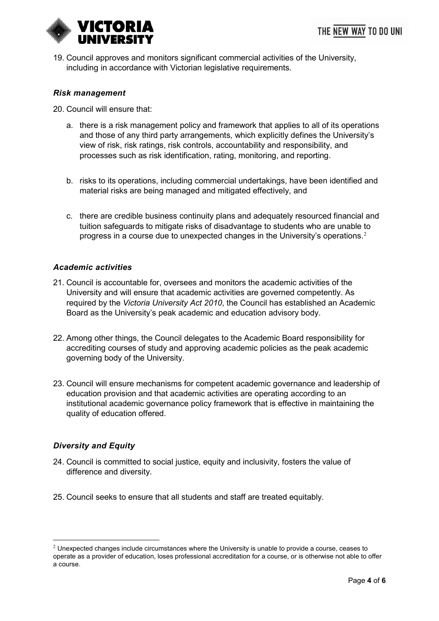

19. Council approves and monitors significant commercial activities of the University, including in accordance with Victorian legislative requirements.

### *Risk management*

- 20. Council will ensure that:
	- a. there is a risk management policy and framework that applies to all of its operations and those of any third party arrangements, which explicitly defines the University's view of risk, risk ratings, risk controls, accountability and responsibility, and processes such as risk identification, rating, monitoring, and reporting.
	- b. risks to its operations, including commercial undertakings, have been identified and material risks are being managed and mitigated effectively, and
	- c. there are credible business continuity plans and adequately resourced financial and tuition safeguards to mitigate risks of disadvantage to students who are unable to progress in a course due to unexpected changes in the University's operations.[2](#page-3-0)

### *Academic activities*

- 21. Council is accountable for, oversees and monitors the academic activities of the University and will ensure that academic activities are governed competently. As required by the *Victoria University Act 2010*, the Council has established an Academic Board as the University's peak academic and education advisory body.
- 22. Among other things, the Council delegates to the Academic Board responsibility for accrediting courses of study and approving academic policies as the peak academic governing body of the University.
- 23. Council will ensure mechanisms for competent academic governance and leadership of education provision and that academic activities are operating according to an institutional academic governance policy framework that is effective in maintaining the quality of education offered.

### *Diversity and Equity*

- 24. Council is committed to social justice, equity and inclusivity, fosters the value of difference and diversity.
- 25. Council seeks to ensure that all students and staff are treated equitably.

<span id="page-3-0"></span> $2$  Unexpected changes include circumstances where the University is unable to provide a course, ceases to operate as a provider of education, loses professional accreditation for a course, or is otherwise not able to offer a course.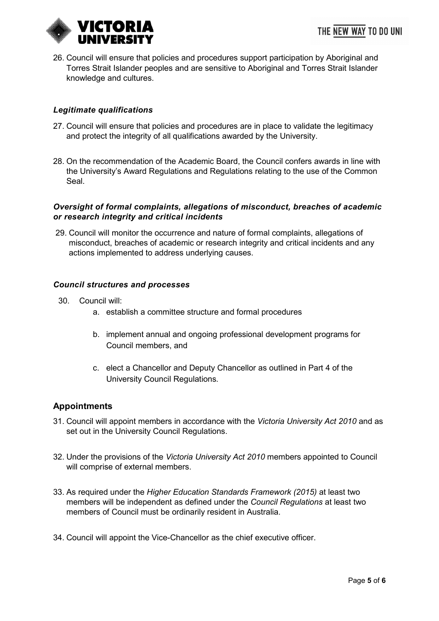

26. Council will ensure that policies and procedures support participation by Aboriginal and Torres Strait Islander peoples and are sensitive to Aboriginal and Torres Strait Islander knowledge and cultures.

## *Legitimate qualifications*

- 27. Council will ensure that policies and procedures are in place to validate the legitimacy and protect the integrity of all qualifications awarded by the University.
- 28. On the recommendation of the Academic Board, the Council confers awards in line with the University's Award Regulations and Regulations relating to the use of the Common Seal.

### *Oversight of formal complaints, allegations of misconduct, breaches of academic or research integrity and critical incidents*

29. Council will monitor the occurrence and nature of formal complaints, allegations of misconduct, breaches of academic or research integrity and critical incidents and any actions implemented to address underlying causes.

#### *Council structures and processes*

- 30. Council will:
	- a. establish a committee structure and formal procedures
	- b. implement annual and ongoing professional development programs for Council members, and
	- c. elect a Chancellor and Deputy Chancellor as outlined in Part 4 of the University Council Regulations*.*

### **Appointments**

- 31. Council will appoint members in accordance with the *Victoria University Act 2010* and as set out in the University Council Regulations.
- 32. Under the provisions of the *Victoria University Act 2010* members appointed to Council will comprise of external members.
- 33. As required under the *Higher Education Standards Framework (2015)* at least two members will be independent as defined under the *Council Regulations* at least two members of Council must be ordinarily resident in Australia.
- 34. Council will appoint the Vice-Chancellor as the chief executive officer.